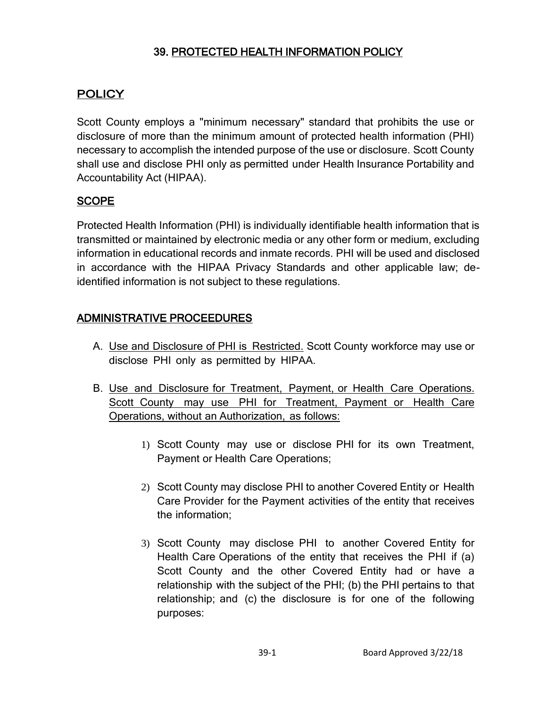## 39. PROTECTED HEALTH INFORMATION POLICY

## **POLICY**

Scott County employs a "minimum necessary" standard that prohibits the use or disclosure of more than the minimum amount of protected health information (PHI) necessary to accomplish the intended purpose of the use or disclosure. Scott County shall use and disclose PHI only as permitted under Health Insurance Portability and Accountability Act (HIPAA).

## **SCOPE**

Protected Health Information (PHI) is individually identifiable health information that is transmitted or maintained by electronic media or any other form or medium, excluding information in educational records and inmate records. PHI will be used and disclosed in accordance with the HIPAA Privacy Standards and other applicable law; deidentified information is not subject to these regulations.

## ADMINISTRATIVE PROCEEDURES

- A. Use and Disclosure of PHI is Restricted. Scott County workforce may use or disclose PHI only as permitted by HIPAA.
- B. Use and Disclosure for Treatment, Payment, or Health Care Operations. Scott County may use PHI for Treatment, Payment or Health Care Operations, without an Authorization, as follows:
	- 1) Scott County may use or disclose PHI for its own Treatment, Payment or Health Care Operations;
	- 2) Scott County may disclose PHI to another Covered Entity or Health Care Provider for the Payment activities of the entity that receives the information;
	- 3) Scott County may disclose PHI to another Covered Entity for Health Care Operations of the entity that receives the PHI if (a) Scott County and the other Covered Entity had or have a relationship with the subject of the PHI; (b) the PHI pertains to that relationship; and (c) the disclosure is for one of the following purposes: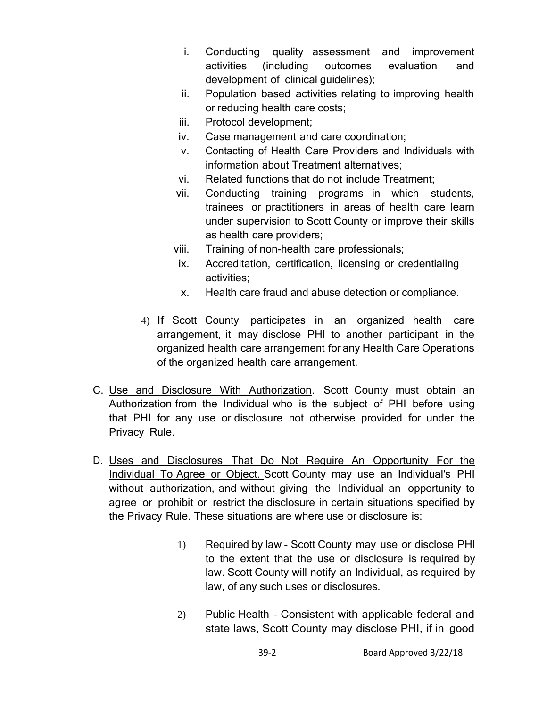- i. Conducting quality assessment and improvement activities (including outcomes evaluation and development of clinical guidelines);
- ii. Population based activities relating to improving health or reducing health care costs;
- iii. Protocol development;
- iv. Case management and care coordination;
- v. Contacting of Health Care Providers and Individuals with information about Treatment alternatives;
- vi. Related functions that do not include Treatment;
- vii. Conducting training programs in which students, trainees or practitioners in areas of health care learn under supervision to Scott County or improve their skills as health care providers;
- viii. Training of non-health care professionals;
- ix. Accreditation, certification, licensing or credentialing activities;
- x. Health care fraud and abuse detection or compliance.
- 4) If Scott County participates in an organized health care arrangement, it may disclose PHI to another participant in the organized health care arrangement for any Health Care Operations of the organized health care arrangement.
- C. Use and Disclosure With Authorization. Scott County must obtain an Authorization from the Individual who is the subject of PHI before using that PHI for any use or disclosure not otherwise provided for under the Privacy Rule.
- D. Uses and Disclosures That Do Not Require An Opportunity For the Individual To Agree or Object. Scott County may use an Individual's PHI without authorization, and without giving the Individual an opportunity to agree or prohibit or restrict the disclosure in certain situations specified by the Privacy Rule. These situations are where use or disclosure is:
	- 1) Required by law Scott County may use or disclose PHI to the extent that the use or disclosure is required by law. Scott County will notify an Individual, as required by law, of any such uses or disclosures.
	- 2) Public Health Consistent with applicable federal and state laws, Scott County may disclose PHI, if in good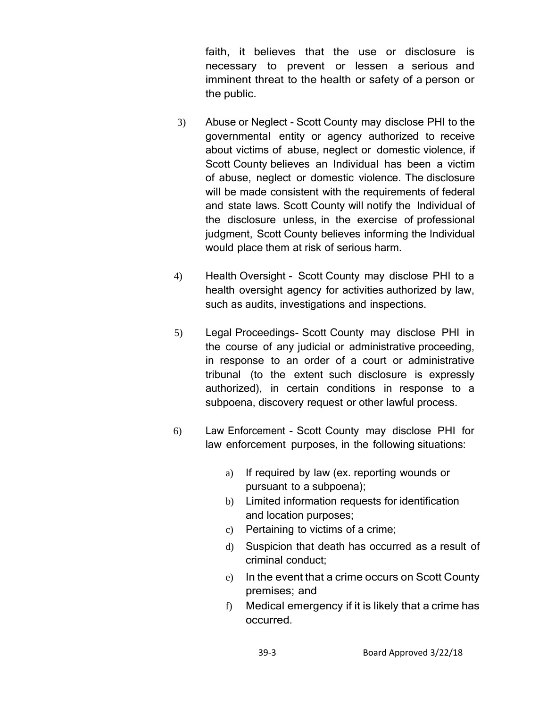faith, it believes that the use or disclosure is necessary to prevent or lessen a serious and imminent threat to the health or safety of a person or the public.

- 3) Abuse or Neglect Scott County may disclose PHI to the governmental entity or agency authorized to receive about victims of abuse, neglect or domestic violence, if Scott County believes an Individual has been a victim of abuse, neglect or domestic violence. The disclosure will be made consistent with the requirements of federal and state laws. Scott County will notify the Individual of the disclosure unless, in the exercise of professional judgment, Scott County believes informing the Individual would place them at risk of serious harm.
- 4) Health Oversight Scott County may disclose PHI to a health oversight agency for activities authorized by law, such as audits, investigations and inspections.
- 5) Legal Proceedings- Scott County may disclose PHI in the course of any judicial or administrative proceeding, in response to an order of a court or administrative tribunal (to the extent such disclosure is expressly authorized), in certain conditions in response to a subpoena, discovery request or other lawful process.
- 6) Law Enforcement Scott County may disclose PHI for law enforcement purposes, in the following situations:
	- a) If required by law (ex. reporting wounds or pursuant to a subpoena);
	- b) Limited information requests for identification and location purposes;
	- c) Pertaining to victims of a crime;
	- d) Suspicion that death has occurred as a result of criminal conduct;
	- e) In the event that a crime occurs on Scott County premises; and
	- f) Medical emergency if it is likely that a crime has occurred.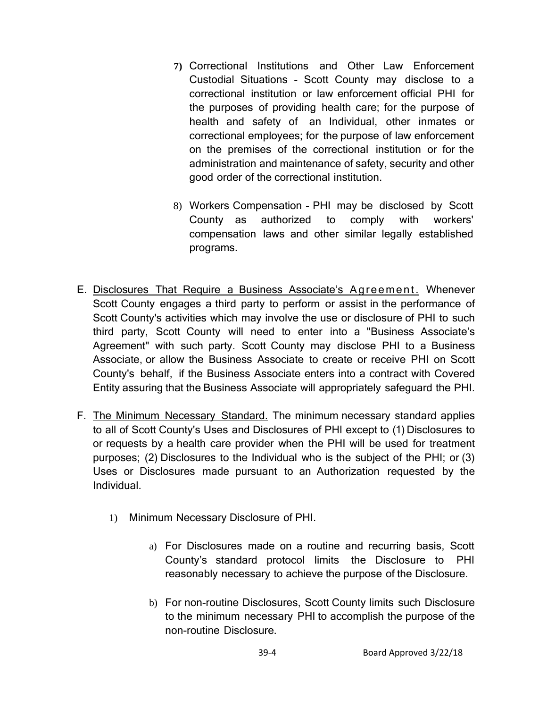- **7)** Correctional Institutions and Other Law Enforcement Custodial Situations - Scott County may disclose to a correctional institution or law enforcement official PHI for the purposes of providing health care; for the purpose of health and safety of an Individual, other inmates or correctional employees; for the purpose of law enforcement on the premises of the correctional institution or for the administration and maintenance of safety, security and other good order of the correctional institution.
- 8) Workers Compensation PHI may be disclosed by Scott County as authorized to comply with workers' compensation laws and other similar legally established programs.
- E. Disclosures That Require a Business Associate's Agreement. Whenever Scott County engages a third party to perform or assist in the performance of Scott County's activities which may involve the use or disclosure of PHI to such third party, Scott County will need to enter into a "Business Associate's Agreement" with such party. Scott County may disclose PHI to a Business Associate, or allow the Business Associate to create or receive PHI on Scott County's behalf, if the Business Associate enters into a contract with Covered Entity assuring that the Business Associate will appropriately safeguard the PHI.
- F. The Minimum Necessary Standard. The minimum necessary standard applies to all of Scott County's Uses and Disclosures of PHI except to (1) Disclosures to or requests by a health care provider when the PHI will be used for treatment purposes; (2) Disclosures to the Individual who is the subject of the PHI; or (3) Uses or Disclosures made pursuant to an Authorization requested by the Individual.
	- 1) Minimum Necessary Disclosure of PHI.
		- a) For Disclosures made on a routine and recurring basis, Scott County's standard protocol limits the Disclosure to PHI reasonably necessary to achieve the purpose of the Disclosure.
		- b) For non-routine Disclosures, Scott County limits such Disclosure to the minimum necessary PHI to accomplish the purpose of the non-routine Disclosure.